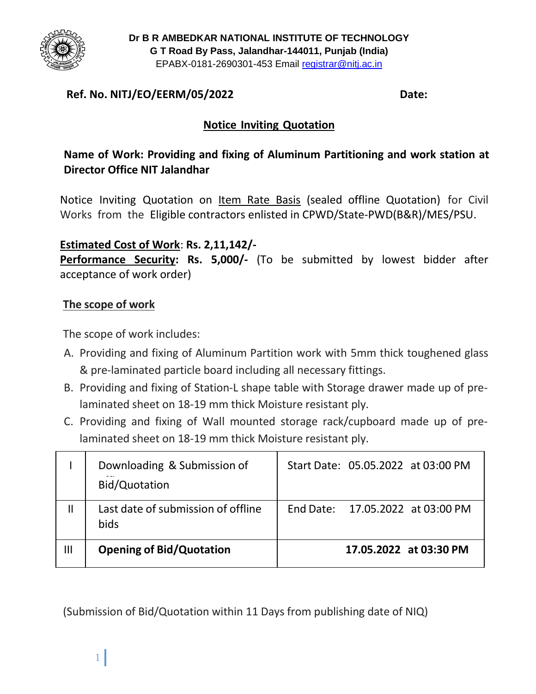

**Dr B R AMBEDKAR NATIONAL INSTITUTE OF TECHNOLOGY G T Road By Pass, Jalandhar-144011, Punjab (India)** EPABX-0181-2690301-453 Email registrar@nitj.ac.in

## **Ref. No. NITJ/EO/EERM/05/2022 Date:**

## **Notice Inviting Quotation**

## **Name of Work: Providing and fixing of Aluminum Partitioning and work station at Director Office NIT Jalandhar**

Notice Inviting Quotation on Item Rate Basis (sealed offline Quotation) for Civil Works from the Eligible contractors enlisted in CPWD/State-PWD(B&R)/MES/PSU.

### **Estimated Cost of Work**: **Rs. 2,11,142/-**

**Performance Security: Rs. 5,000/-** (To be submitted by lowest bidder after acceptance of work order)

### **The scope of work**

The scope of work includes:

- A. Providing and fixing of Aluminum Partition work with 5mm thick toughened glass & pre-laminated particle board including all necessary fittings.
- B. Providing and fixing of Station-L shape table with Storage drawer made up of prelaminated sheet on 18-19 mm thick Moisture resistant ply.
- C. Providing and fixing of Wall mounted storage rack/cupboard made up of prelaminated sheet on 18-19 mm thick Moisture resistant ply.

|               | Downloading & Submission of<br>Bid/Quotation | Start Date: 05.05.2022 at 03:00 PM |
|---------------|----------------------------------------------|------------------------------------|
| $\mathsf{II}$ | Last date of submission of offline<br>bids   | End Date: 17.05.2022 at 03:00 PM   |
| Ш             | <b>Opening of Bid/Quotation</b>              | 17.05.2022 at 03:30 PM             |

(Submission of Bid/Quotation within 11 Days from publishing date of NIQ)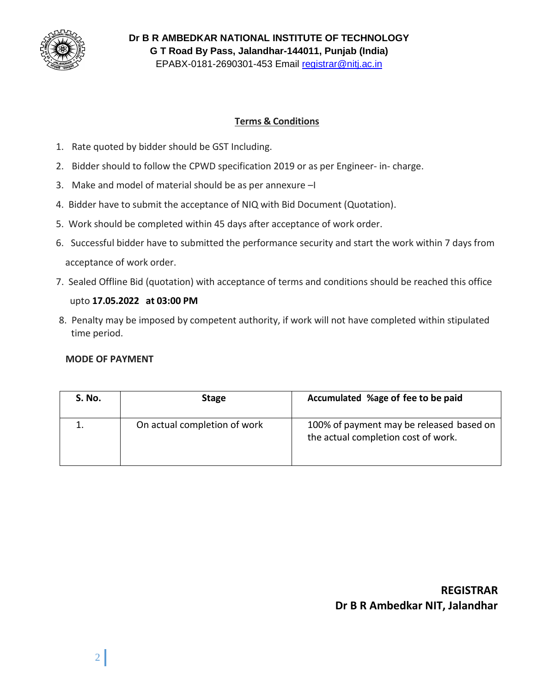

**Dr B R AMBEDKAR NATIONAL INSTITUTE OF TECHNOLOGY G T Road By Pass, Jalandhar-144011, Punjab (India)** EPABX-0181-2690301-453 Email registrar@nitj.ac.in

#### **Terms & Conditions**

- 1. Rate quoted by bidder should be GST Including.
- 2. Bidder should to follow the CPWD specification 2019 or as per Engineer- in- charge.
- 3. Make and model of material should be as per annexure –I
- 4. Bidder have to submit the acceptance of NIQ with Bid Document (Quotation).
- 5. Work should be completed within 45 days after acceptance of work order.
- 6. Successful bidder have to submitted the performance security and start the work within 7 days from acceptance of work order.
- 7. Sealed Offline Bid (quotation) with acceptance of terms and conditions should be reached this office

#### upto **17.05.2022 at 03:00 PM**

8. Penalty may be imposed by competent authority, if work will not have completed within stipulated time period.

#### **MODE OF PAYMENT**

| S. No. | <b>Stage</b>                 | Accumulated %age of fee to be paid                                              |
|--------|------------------------------|---------------------------------------------------------------------------------|
|        | On actual completion of work | 100% of payment may be released based on<br>the actual completion cost of work. |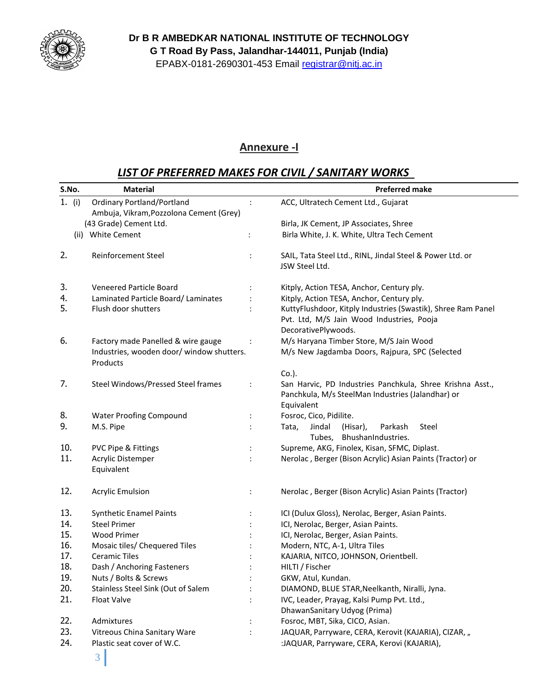

**Dr B R AMBEDKAR NATIONAL INSTITUTE OF TECHNOLOGY G T Road By Pass, Jalandhar-144011, Punjab (India)** EPABX-0181-2690301-453 Email registrar@nitj.ac.in

#### **Annexure -I**

## *LIST OF PREFERRED MAKES FOR CIVIL / SANITARY WORKS*

| S.No.    | <b>Material</b>                                       |                      | <b>Preferred make</b>                                                                                                            |
|----------|-------------------------------------------------------|----------------------|----------------------------------------------------------------------------------------------------------------------------------|
| 1. $(i)$ | <b>Ordinary Portland/Portland</b>                     | $\ddot{\phantom{a}}$ | ACC, Ultratech Cement Ltd., Gujarat                                                                                              |
|          | Ambuja, Vikram, Pozzolona Cement (Grey)               |                      |                                                                                                                                  |
|          | (43 Grade) Cement Ltd.                                |                      | Birla, JK Cement, JP Associates, Shree                                                                                           |
|          | (ii) White Cement                                     | $\ddot{\cdot}$       | Birla White, J. K. White, Ultra Tech Cement                                                                                      |
| 2.       | Reinforcement Steel                                   |                      | SAIL, Tata Steel Ltd., RINL, Jindal Steel & Power Ltd. or<br>JSW Steel Ltd.                                                      |
| 3.       | Veneered Particle Board                               |                      | Kitply, Action TESA, Anchor, Century ply.                                                                                        |
| 4.       | Laminated Particle Board/Laminates                    |                      | Kitply, Action TESA, Anchor, Century ply.                                                                                        |
| 5.       | Flush door shutters                                   |                      | KuttyFlushdoor, Kitply Industries (Swastik), Shree Ram Panel<br>Pvt. Ltd, M/S Jain Wood Industries, Pooja<br>DecorativePlywoods. |
| 6.       | Factory made Panelled & wire gauge                    |                      | M/s Haryana Timber Store, M/S Jain Wood                                                                                          |
|          | Industries, wooden door/ window shutters.<br>Products |                      | M/s New Jagdamba Doors, Rajpura, SPC (Selected                                                                                   |
|          |                                                       |                      | $Co.$ ).                                                                                                                         |
| 7.       | Steel Windows/Pressed Steel frames                    | :                    | San Harvic, PD Industries Panchkula, Shree Krishna Asst.,<br>Panchkula, M/s SteelMan Industries (Jalandhar) or<br>Equivalent     |
| 8.       | <b>Water Proofing Compound</b>                        | :                    | Fosroc, Cico, Pidilite.                                                                                                          |
| 9.       | M.S. Pipe                                             |                      | Jindal<br>(Hisar),<br>Parkash<br>Steel<br>Tata,<br>BhushanIndustries.<br>Tubes,                                                  |
| 10.      | PVC Pipe & Fittings                                   |                      | Supreme, AKG, Finolex, Kisan, SFMC, Diplast.                                                                                     |
| 11.      | Acrylic Distemper<br>Equivalent                       |                      | Nerolac, Berger (Bison Acrylic) Asian Paints (Tractor) or                                                                        |
| 12.      | <b>Acrylic Emulsion</b>                               | $\ddot{\cdot}$       | Nerolac, Berger (Bison Acrylic) Asian Paints (Tractor)                                                                           |
| 13.      | <b>Synthetic Enamel Paints</b>                        |                      | ICI (Dulux Gloss), Nerolac, Berger, Asian Paints.                                                                                |
| 14.      | <b>Steel Primer</b>                                   |                      | ICI, Nerolac, Berger, Asian Paints.                                                                                              |
| 15.      | <b>Wood Primer</b>                                    |                      | ICI, Nerolac, Berger, Asian Paints.                                                                                              |
| 16.      | Mosaic tiles/ Chequered Tiles                         |                      | Modern, NTC, A-1, Ultra Tiles                                                                                                    |
| 17.      | <b>Ceramic Tiles</b>                                  |                      | KAJARIA, NITCO, JOHNSON, Orientbell.                                                                                             |
| 18.      | Dash / Anchoring Fasteners                            |                      | HILTI / Fischer                                                                                                                  |
| 19.      | Nuts / Bolts & Screws                                 |                      | GKW, Atul, Kundan.                                                                                                               |
| 20.      | Stainless Steel Sink (Out of Salem                    |                      | DIAMOND, BLUE STAR, Neelkanth, Niralli, Jyna.                                                                                    |
| 21.      | Float Valve                                           |                      | IVC, Leader, Prayag, Kalsi Pump Pvt. Ltd.,<br>DhawanSanitary Udyog (Prima)                                                       |
| 22.      | Admixtures                                            |                      | Fosroc, MBT, Sika, CICO, Asian.                                                                                                  |
| 23.      | Vitreous China Sanitary Ware                          |                      | JAQUAR, Parryware, CERA, Kerovit (KAJARIA), CIZAR, "                                                                             |
| 24.      | Plastic seat cover of W.C.                            |                      | :JAQUAR, Parryware, CERA, Kerovi (KAJARIA),                                                                                      |
|          |                                                       |                      |                                                                                                                                  |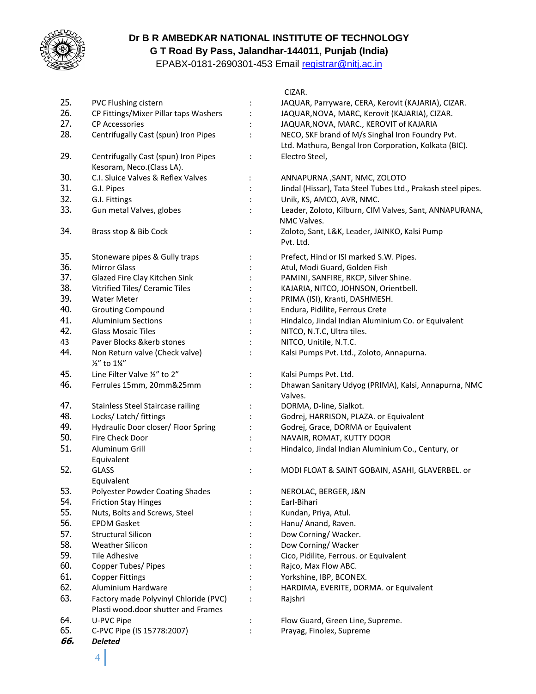

#### **Dr B R AMBEDKAR NATIONAL INSTITUTE OF TECHNOLOGY G T Road By Pass, Jalandhar-144011, Punjab (India)**

EPABX-0181-2690301-453 Email registrar@nitj.ac.in

|     |                                                 |                | CIZAR.                                                       |
|-----|-------------------------------------------------|----------------|--------------------------------------------------------------|
| 25. | PVC Flushing cistern                            | $\ddot{\cdot}$ | JAQUAR, Parryware, CERA, Kerovit (KAJARIA), CIZAR.           |
| 26. | CP Fittings/Mixer Pillar taps Washers           |                | JAQUAR, NOVA, MARC, Kerovit (KAJARIA), CIZAR.                |
| 27. | <b>CP Accessories</b>                           |                | JAQUAR, NOVA, MARC., KEROVIT of KAJARIA                      |
| 28. | Centrifugally Cast (spun) Iron Pipes            |                | NECO, SKF brand of M/s Singhal Iron Foundry Pvt.             |
|     |                                                 |                | Ltd. Mathura, Bengal Iron Corporation, Kolkata (BIC).        |
| 29. | Centrifugally Cast (spun) Iron Pipes            |                | Electro Steel,                                               |
|     | Kesoram, Neco.(Class LA).                       |                |                                                              |
| 30. | C.I. Sluice Valves & Reflex Valves              | $\ddot{\cdot}$ | ANNAPURNA, SANT, NMC, ZOLOTO                                 |
| 31. | G.I. Pipes                                      |                | Jindal (Hissar), Tata Steel Tubes Ltd., Prakash steel pipes. |
| 32. | G.I. Fittings                                   |                | Unik, KS, AMCO, AVR, NMC.                                    |
| 33. | Gun metal Valves, globes                        |                | Leader, Zoloto, Kilburn, CIM Valves, Sant, ANNAPURANA,       |
|     |                                                 |                | NMC Valves.                                                  |
| 34. | Brass stop & Bib Cock                           | $\ddot{\cdot}$ | Zoloto, Sant, L&K, Leader, JAINKO, Kalsi Pump                |
|     |                                                 |                | Pvt. Ltd.                                                    |
|     |                                                 |                |                                                              |
| 35. | Stoneware pipes & Gully traps                   | $\ddot{\cdot}$ | Prefect, Hind or ISI marked S.W. Pipes.                      |
| 36. | <b>Mirror Glass</b>                             |                | Atul, Modi Guard, Golden Fish                                |
| 37. | Glazed Fire Clay Kitchen Sink                   |                | PAMINI, SANFIRE, RKCP, Silver Shine.                         |
| 38. | Vitrified Tiles/ Ceramic Tiles                  |                | KAJARIA, NITCO, JOHNSON, Orientbell.                         |
| 39. | <b>Water Meter</b>                              |                | PRIMA (ISI), Kranti, DASHMESH.                               |
| 40. | <b>Grouting Compound</b>                        |                | Endura, Pidilite, Ferrous Crete                              |
| 41. | <b>Aluminium Sections</b>                       |                | Hindalco, Jindal Indian Aluminium Co. or Equivalent          |
| 42. | <b>Glass Mosaic Tiles</b>                       |                | NITCO, N.T.C, Ultra tiles.                                   |
| 43  | Paver Blocks &kerb stones                       |                | NITCO, Unitile, N.T.C.                                       |
| 44. | Non Return valve (Check valve)<br>1/2" to 11/4" |                | Kalsi Pumps Pvt. Ltd., Zoloto, Annapurna.                    |
| 45. | Line Filter Valve 1/2" to 2"                    |                | Kalsi Pumps Pvt. Ltd.                                        |
| 46. | Ferrules 15mm, 20mm&25mm                        |                | Dhawan Sanitary Udyog (PRIMA), Kalsi, Annapurna, NMC         |
|     |                                                 |                | Valves.                                                      |
| 47. | <b>Stainless Steel Staircase railing</b>        |                | DORMA, D-line, Sialkot.                                      |
| 48. | Locks/ Latch/ fittings                          |                | Godrej, HARRISON, PLAZA. or Equivalent                       |
| 49. | Hydraulic Door closer/ Floor Spring             |                | Godrej, Grace, DORMA or Equivalent                           |
| 50. | Fire Check Door                                 |                | NAVAIR, ROMAT, KUTTY DOOR                                    |
| 51. | Aluminum Grill                                  |                | Hindalco, Jindal Indian Aluminium Co., Century, or           |
|     | Equivalent                                      |                |                                                              |
| 52. | <b>GLASS</b>                                    |                | MODI FLOAT & SAINT GOBAIN, ASAHI, GLAVERBEL. or              |
|     | Equivalent                                      |                |                                                              |
| 53. | Polyester Powder Coating Shades                 |                | NEROLAC, BERGER, J&N                                         |
| 54. | <b>Friction Stay Hinges</b>                     |                | Earl-Bihari                                                  |
| 55. | Nuts, Bolts and Screws, Steel                   |                | Kundan, Priya, Atul.                                         |
| 56. | <b>EPDM Gasket</b>                              |                | Hanu/ Anand, Raven.                                          |
| 57. | <b>Structural Silicon</b>                       |                | Dow Corning/Wacker.                                          |
| 58. | <b>Weather Silicon</b>                          |                | Dow Corning/Wacker                                           |
| 59. | Tile Adhesive                                   |                | Cico, Pidilite, Ferrous. or Equivalent                       |
| 60. | Copper Tubes/ Pipes                             |                | Rajco, Max Flow ABC.                                         |
| 61. | <b>Copper Fittings</b>                          |                | Yorkshine, IBP, BCONEX.                                      |
| 62. | Aluminium Hardware                              |                | HARDIMA, EVERITE, DORMA. or Equivalent                       |
| 63. | Factory made Polyvinyl Chloride (PVC)           |                | Rajshri                                                      |
|     | Plasti wood.door shutter and Frames             |                |                                                              |
| 64. | U-PVC Pipe                                      |                | Flow Guard, Green Line, Supreme.                             |
| 65. | C-PVC Pipe (IS 15778:2007)                      |                | Prayag, Finolex, Supreme                                     |
| 66. | <b>Deleted</b>                                  |                |                                                              |

# 4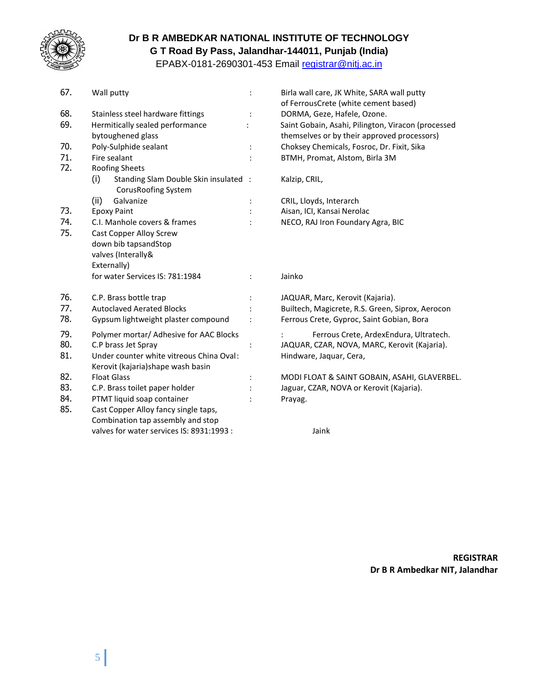

#### **Dr B R AMBEDKAR NATIONAL INSTITUTE OF TECHNOLOGY G T Road By Pass, Jalandhar-144011, Punjab (India)**

EPABX-0181-2690301-453 Email registrar@nitj.ac.in

| 67.               | Wall putty                                                                                                                                      | $\ddot{\cdot}$       | Birla wall care, JK White, SARA wall putty<br>of FerrousCrete (white cement based)                                |
|-------------------|-------------------------------------------------------------------------------------------------------------------------------------------------|----------------------|-------------------------------------------------------------------------------------------------------------------|
| 68.               | Stainless steel hardware fittings                                                                                                               |                      | DORMA, Geze, Hafele, Ozone.                                                                                       |
| 69.               | Hermitically sealed performance<br>bytoughened glass                                                                                            |                      | Saint Gobain, Asahi, Pilington, Viracon (processed<br>themselves or by their approved processors)                 |
| 70.               | Poly-Sulphide sealant                                                                                                                           | $\ddot{\phantom{a}}$ | Choksey Chemicals, Fosroc, Dr. Fixit, Sika                                                                        |
| 71.               | Fire sealant                                                                                                                                    |                      | BTMH, Promat, Alstom, Birla 3M                                                                                    |
| 72.               | Roofing Sheets                                                                                                                                  |                      |                                                                                                                   |
|                   | Standing Slam Double Skin insulated :<br>(i)<br>Corus Roofing System                                                                            |                      | Kalzip, CRIL,                                                                                                     |
|                   | (ii)<br>Galvanize                                                                                                                               |                      | CRIL, Lloyds, Interarch                                                                                           |
| 73.               | <b>Epoxy Paint</b>                                                                                                                              |                      | Aisan, ICI, Kansai Nerolac                                                                                        |
| 74.<br>75.        | C.I. Manhole covers & frames<br><b>Cast Copper Alloy Screw</b><br>down bib tapsandStop<br>valves (Interally&                                    |                      | NECO, RAJ Iron Foundary Agra, BIC                                                                                 |
|                   | Externally)<br>for water Services IS: 781:1984                                                                                                  |                      | Jainko                                                                                                            |
| 76.               | C.P. Brass bottle trap                                                                                                                          |                      | JAQUAR, Marc, Kerovit (Kajaria).                                                                                  |
| 77.               | <b>Autoclaved Aerated Blocks</b>                                                                                                                |                      | Builtech, Magicrete, R.S. Green, Siprox, Aerocon                                                                  |
| 78.               | Gypsum lightweight plaster compound                                                                                                             | $\ddot{\cdot}$       | Ferrous Crete, Gyproc, Saint Gobian, Bora                                                                         |
| 79.<br>80.<br>81. | Polymer mortar/ Adhesive for AAC Blocks<br>C.P brass Jet Spray<br>Under counter white vitreous China Oval:<br>Kerovit (kajaria)shape wash basin | :                    | Ferrous Crete, ArdexEndura, Ultratech.<br>JAQUAR, CZAR, NOVA, MARC, Kerovit (Kajaria).<br>Hindware, Jaquar, Cera, |
| 82.               | <b>Float Glass</b>                                                                                                                              |                      | MODI FLOAT & SAINT GOBAIN, ASAHI, GLAVERBEL.                                                                      |
| 83.               | C.P. Brass toilet paper holder                                                                                                                  |                      | Jaguar, CZAR, NOVA or Kerovit (Kajaria).                                                                          |
| 84.               | PTMT liquid soap container                                                                                                                      |                      | Prayag.                                                                                                           |
| 85.               | Cast Copper Alloy fancy single taps,<br>Combination tap assembly and stop                                                                       |                      |                                                                                                                   |
|                   | valves for water services IS: 8931:1993 :                                                                                                       |                      | Jaink                                                                                                             |

**REGISTRAR Dr B R Ambedkar NIT, Jalandhar**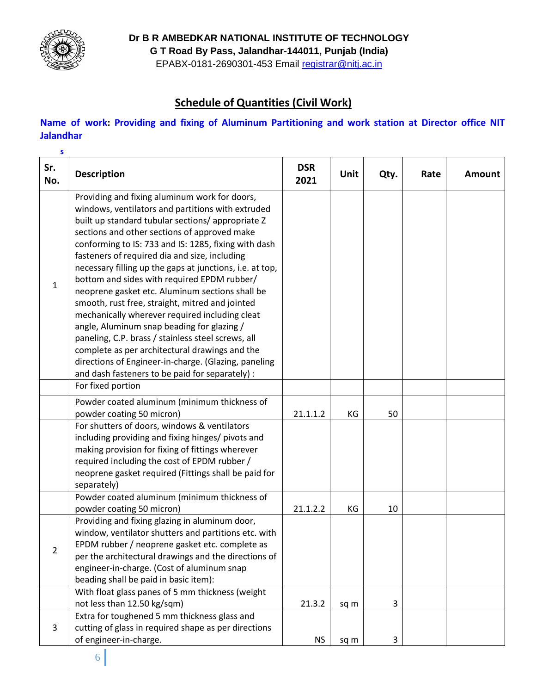

**Dr B R AMBEDKAR NATIONAL INSTITUTE OF TECHNOLOGY**

**G T Road By Pass, Jalandhar-144011, Punjab (India)**

EPABX-0181-2690301-453 Email registrar@nitj.ac.in

## **Schedule of Quantities (Civil Work)**

#### **Name of work: Providing and fixing of Aluminum Partitioning and work station at Director office NIT Jalandhar**

| $\mathsf{s}$   |                                                                                                                                                                                                                                                                                                                                                                                                                                                                                                                                                                                                                                                                                                                                                                                                                                                      |                    |             |      |      |               |
|----------------|------------------------------------------------------------------------------------------------------------------------------------------------------------------------------------------------------------------------------------------------------------------------------------------------------------------------------------------------------------------------------------------------------------------------------------------------------------------------------------------------------------------------------------------------------------------------------------------------------------------------------------------------------------------------------------------------------------------------------------------------------------------------------------------------------------------------------------------------------|--------------------|-------------|------|------|---------------|
| Sr.<br>No.     | <b>Description</b>                                                                                                                                                                                                                                                                                                                                                                                                                                                                                                                                                                                                                                                                                                                                                                                                                                   | <b>DSR</b><br>2021 | <b>Unit</b> | Qty. | Rate | <b>Amount</b> |
| $\mathbf{1}$   | Providing and fixing aluminum work for doors,<br>windows, ventilators and partitions with extruded<br>built up standard tubular sections/ appropriate Z<br>sections and other sections of approved make<br>conforming to IS: 733 and IS: 1285, fixing with dash<br>fasteners of required dia and size, including<br>necessary filling up the gaps at junctions, i.e. at top,<br>bottom and sides with required EPDM rubber/<br>neoprene gasket etc. Aluminum sections shall be<br>smooth, rust free, straight, mitred and jointed<br>mechanically wherever required including cleat<br>angle, Aluminum snap beading for glazing /<br>paneling, C.P. brass / stainless steel screws, all<br>complete as per architectural drawings and the<br>directions of Engineer-in-charge. (Glazing, paneling<br>and dash fasteners to be paid for separately) : |                    |             |      |      |               |
|                | For fixed portion                                                                                                                                                                                                                                                                                                                                                                                                                                                                                                                                                                                                                                                                                                                                                                                                                                    |                    |             |      |      |               |
|                | Powder coated aluminum (minimum thickness of<br>powder coating 50 micron)                                                                                                                                                                                                                                                                                                                                                                                                                                                                                                                                                                                                                                                                                                                                                                            | 21.1.1.2           | KG          | 50   |      |               |
|                | For shutters of doors, windows & ventilators<br>including providing and fixing hinges/ pivots and<br>making provision for fixing of fittings wherever<br>required including the cost of EPDM rubber /<br>neoprene gasket required (Fittings shall be paid for<br>separately)                                                                                                                                                                                                                                                                                                                                                                                                                                                                                                                                                                         |                    |             |      |      |               |
|                | Powder coated aluminum (minimum thickness of<br>powder coating 50 micron)                                                                                                                                                                                                                                                                                                                                                                                                                                                                                                                                                                                                                                                                                                                                                                            | 21.1.2.2           | KG          | 10   |      |               |
| $\overline{2}$ | Providing and fixing glazing in aluminum door,<br>window, ventilator shutters and partitions etc. with<br>EPDM rubber / neoprene gasket etc. complete as<br>per the architectural drawings and the directions of<br>engineer-in-charge. (Cost of aluminum snap<br>beading shall be paid in basic item):                                                                                                                                                                                                                                                                                                                                                                                                                                                                                                                                              |                    |             |      |      |               |
|                | With float glass panes of 5 mm thickness (weight<br>not less than 12.50 kg/sqm)                                                                                                                                                                                                                                                                                                                                                                                                                                                                                                                                                                                                                                                                                                                                                                      | 21.3.2             | sq m        | 3    |      |               |
| 3              | Extra for toughened 5 mm thickness glass and<br>cutting of glass in required shape as per directions<br>of engineer-in-charge.                                                                                                                                                                                                                                                                                                                                                                                                                                                                                                                                                                                                                                                                                                                       | NS                 | sq m        | 3    |      |               |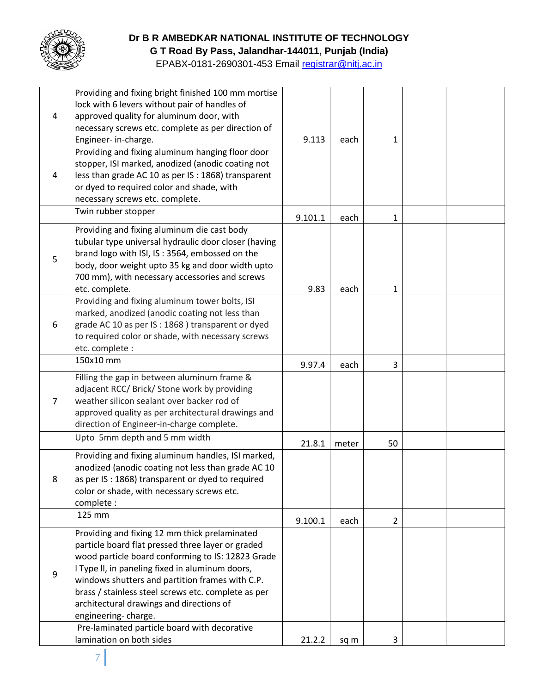

## **Dr B R AMBEDKAR NATIONAL INSTITUTE OF TECHNOLOGY**

**G T Road By Pass, Jalandhar-144011, Punjab (India)**

EPABX-0181-2690301-453 Email registrar@nitj.ac.in

| 4 | Providing and fixing bright finished 100 mm mortise<br>lock with 6 levers without pair of handles of<br>approved quality for aluminum door, with<br>necessary screws etc. complete as per direction of                                                                                                                                                                                  |         |       |                |  |
|---|-----------------------------------------------------------------------------------------------------------------------------------------------------------------------------------------------------------------------------------------------------------------------------------------------------------------------------------------------------------------------------------------|---------|-------|----------------|--|
|   | Engineer-in-charge.                                                                                                                                                                                                                                                                                                                                                                     | 9.113   | each  | 1              |  |
| 4 | Providing and fixing aluminum hanging floor door<br>stopper, ISI marked, anodized (anodic coating not<br>less than grade AC 10 as per IS : 1868) transparent<br>or dyed to required color and shade, with<br>necessary screws etc. complete.                                                                                                                                            |         |       |                |  |
|   | Twin rubber stopper                                                                                                                                                                                                                                                                                                                                                                     | 9.101.1 | each  | 1              |  |
| 5 | Providing and fixing aluminum die cast body<br>tubular type universal hydraulic door closer (having<br>brand logo with ISI, IS: 3564, embossed on the<br>body, door weight upto 35 kg and door width upto<br>700 mm), with necessary accessories and screws<br>etc. complete.                                                                                                           | 9.83    |       | 1              |  |
|   | Providing and fixing aluminum tower bolts, ISI                                                                                                                                                                                                                                                                                                                                          |         | each  |                |  |
| 6 | marked, anodized (anodic coating not less than<br>grade AC 10 as per IS: 1868) transparent or dyed<br>to required color or shade, with necessary screws<br>etc. complete :                                                                                                                                                                                                              |         |       |                |  |
|   | 150x10 mm                                                                                                                                                                                                                                                                                                                                                                               | 9.97.4  | each  | 3              |  |
| 7 | Filling the gap in between aluminum frame &<br>adjacent RCC/ Brick/ Stone work by providing<br>weather silicon sealant over backer rod of<br>approved quality as per architectural drawings and<br>direction of Engineer-in-charge complete.                                                                                                                                            |         |       |                |  |
|   | Upto 5mm depth and 5 mm width                                                                                                                                                                                                                                                                                                                                                           | 21.8.1  | meter | 50             |  |
| 8 | Providing and fixing aluminum handles, ISI marked,<br>anodized (anodic coating not less than grade AC 10<br>as per IS : 1868) transparent or dyed to required<br>color or shade, with necessary screws etc.<br>complete :                                                                                                                                                               |         |       |                |  |
|   | 125 mm                                                                                                                                                                                                                                                                                                                                                                                  | 9.100.1 | each  | $\overline{2}$ |  |
| 9 | Providing and fixing 12 mm thick prelaminated<br>particle board flat pressed three layer or graded<br>wood particle board conforming to IS: 12823 Grade<br>I Type II, in paneling fixed in aluminum doors,<br>windows shutters and partition frames with C.P.<br>brass / stainless steel screws etc. complete as per<br>architectural drawings and directions of<br>engineering-charge. |         |       |                |  |
|   | Pre-laminated particle board with decorative                                                                                                                                                                                                                                                                                                                                            |         |       |                |  |
|   | lamination on both sides                                                                                                                                                                                                                                                                                                                                                                | 21.2.2  | sq m  | 3              |  |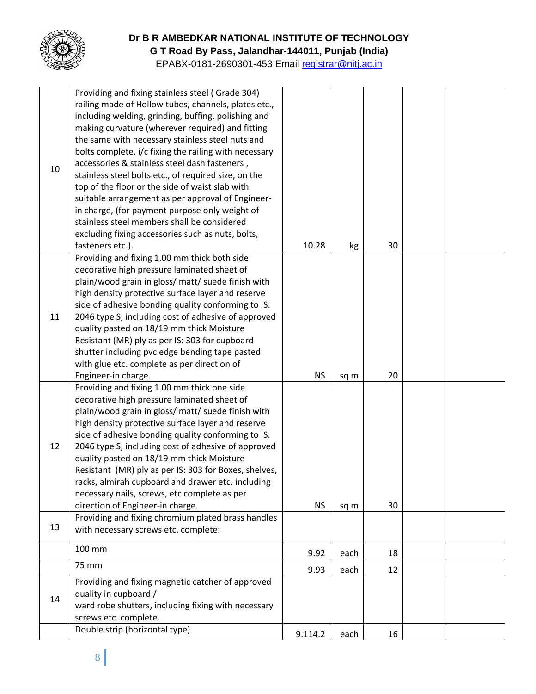

#### **Dr B R AMBEDKAR NATIONAL INSTITUTE OF TECHNOLOGY G T Road By Pass, Jalandhar-144011, Punjab (India)**

EPABX-0181-2690301-453 Email registrar@nitj.ac.in

| 10 | Providing and fixing stainless steel (Grade 304)<br>railing made of Hollow tubes, channels, plates etc.,<br>including welding, grinding, buffing, polishing and<br>making curvature (wherever required) and fitting<br>the same with necessary stainless steel nuts and<br>bolts complete, i/c fixing the railing with necessary<br>accessories & stainless steel dash fasteners,<br>stainless steel bolts etc., of required size, on the<br>top of the floor or the side of waist slab with<br>suitable arrangement as per approval of Engineer-<br>in charge, (for payment purpose only weight of<br>stainless steel members shall be considered<br>excluding fixing accessories such as nuts, bolts,<br>fasteners etc.). | 10.28     | kg   | 30 |  |
|----|-----------------------------------------------------------------------------------------------------------------------------------------------------------------------------------------------------------------------------------------------------------------------------------------------------------------------------------------------------------------------------------------------------------------------------------------------------------------------------------------------------------------------------------------------------------------------------------------------------------------------------------------------------------------------------------------------------------------------------|-----------|------|----|--|
| 11 | Providing and fixing 1.00 mm thick both side<br>decorative high pressure laminated sheet of<br>plain/wood grain in gloss/ matt/ suede finish with<br>high density protective surface layer and reserve<br>side of adhesive bonding quality conforming to IS:<br>2046 type S, including cost of adhesive of approved<br>quality pasted on 18/19 mm thick Moisture<br>Resistant (MR) ply as per IS: 303 for cupboard<br>shutter including pvc edge bending tape pasted<br>with glue etc. complete as per direction of<br>Engineer-in charge.                                                                                                                                                                                  | <b>NS</b> | sq m | 20 |  |
| 12 | Providing and fixing 1.00 mm thick one side<br>decorative high pressure laminated sheet of<br>plain/wood grain in gloss/ matt/ suede finish with<br>high density protective surface layer and reserve<br>side of adhesive bonding quality conforming to IS:<br>2046 type S, including cost of adhesive of approved<br>quality pasted on 18/19 mm thick Moisture<br>Resistant (MR) ply as per IS: 303 for Boxes, shelves,<br>racks, almirah cupboard and drawer etc. including<br>necessary nails, screws, etc complete as per<br>direction of Engineer-in charge.                                                                                                                                                           | <b>NS</b> | sq m | 30 |  |
| 13 | Providing and fixing chromium plated brass handles<br>with necessary screws etc. complete:                                                                                                                                                                                                                                                                                                                                                                                                                                                                                                                                                                                                                                  |           |      |    |  |
|    | 100 mm                                                                                                                                                                                                                                                                                                                                                                                                                                                                                                                                                                                                                                                                                                                      | 9.92      | each | 18 |  |
|    | 75 mm                                                                                                                                                                                                                                                                                                                                                                                                                                                                                                                                                                                                                                                                                                                       | 9.93      | each | 12 |  |
| 14 | Providing and fixing magnetic catcher of approved<br>quality in cupboard /<br>ward robe shutters, including fixing with necessary<br>screws etc. complete.                                                                                                                                                                                                                                                                                                                                                                                                                                                                                                                                                                  |           |      |    |  |
|    | Double strip (horizontal type)                                                                                                                                                                                                                                                                                                                                                                                                                                                                                                                                                                                                                                                                                              | 9.114.2   | each | 16 |  |